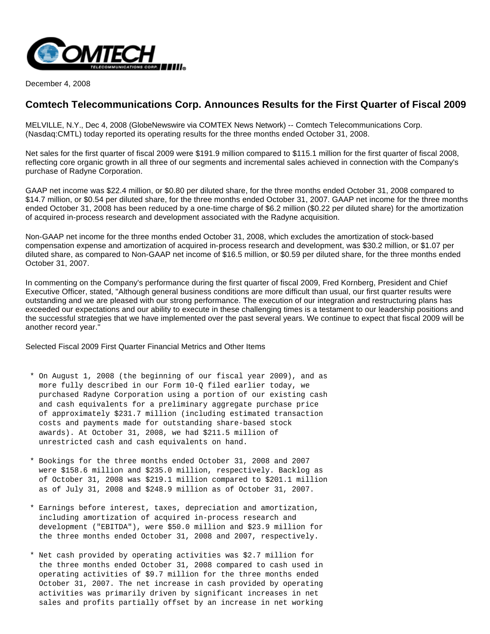

December 4, 2008

# **Comtech Telecommunications Corp. Announces Results for the First Quarter of Fiscal 2009**

MELVILLE, N.Y., Dec 4, 2008 (GlobeNewswire via COMTEX News Network) -- Comtech Telecommunications Corp. (Nasdaq:CMTL) today reported its operating results for the three months ended October 31, 2008.

Net sales for the first quarter of fiscal 2009 were \$191.9 million compared to \$115.1 million for the first quarter of fiscal 2008, reflecting core organic growth in all three of our segments and incremental sales achieved in connection with the Company's purchase of Radyne Corporation.

GAAP net income was \$22.4 million, or \$0.80 per diluted share, for the three months ended October 31, 2008 compared to \$14.7 million, or \$0.54 per diluted share, for the three months ended October 31, 2007. GAAP net income for the three months ended October 31, 2008 has been reduced by a one-time charge of \$6.2 million (\$0.22 per diluted share) for the amortization of acquired in-process research and development associated with the Radyne acquisition.

Non-GAAP net income for the three months ended October 31, 2008, which excludes the amortization of stock-based compensation expense and amortization of acquired in-process research and development, was \$30.2 million, or \$1.07 per diluted share, as compared to Non-GAAP net income of \$16.5 million, or \$0.59 per diluted share, for the three months ended October 31, 2007.

In commenting on the Company's performance during the first quarter of fiscal 2009, Fred Kornberg, President and Chief Executive Officer, stated, "Although general business conditions are more difficult than usual, our first quarter results were outstanding and we are pleased with our strong performance. The execution of our integration and restructuring plans has exceeded our expectations and our ability to execute in these challenging times is a testament to our leadership positions and the successful strategies that we have implemented over the past several years. We continue to expect that fiscal 2009 will be another record year."

Selected Fiscal 2009 First Quarter Financial Metrics and Other Items

- \* On August 1, 2008 (the beginning of our fiscal year 2009), and as more fully described in our Form 10-Q filed earlier today, we purchased Radyne Corporation using a portion of our existing cash and cash equivalents for a preliminary aggregate purchase price of approximately \$231.7 million (including estimated transaction costs and payments made for outstanding share-based stock awards). At October 31, 2008, we had \$211.5 million of unrestricted cash and cash equivalents on hand.
- \* Bookings for the three months ended October 31, 2008 and 2007 were \$158.6 million and \$235.0 million, respectively. Backlog as of October 31, 2008 was \$219.1 million compared to \$201.1 million as of July 31, 2008 and \$248.9 million as of October 31, 2007.
- \* Earnings before interest, taxes, depreciation and amortization, including amortization of acquired in-process research and development ("EBITDA"), were \$50.0 million and \$23.9 million for the three months ended October 31, 2008 and 2007, respectively.
- \* Net cash provided by operating activities was \$2.7 million for the three months ended October 31, 2008 compared to cash used in operating activities of \$9.7 million for the three months ended October 31, 2007. The net increase in cash provided by operating activities was primarily driven by significant increases in net sales and profits partially offset by an increase in net working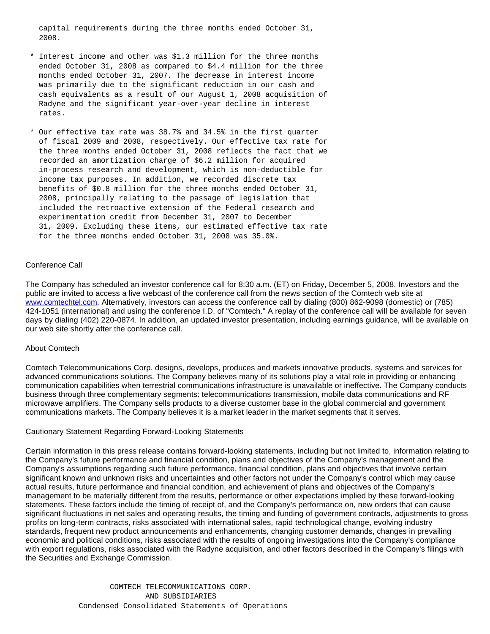capital requirements during the three months ended October 31, 2008.

- \* Interest income and other was \$1.3 million for the three months ended October 31, 2008 as compared to \$4.4 million for the three months ended October 31, 2007. The decrease in interest income was primarily due to the significant reduction in our cash and cash equivalents as a result of our August 1, 2008 acquisition of Radyne and the significant year-over-year decline in interest rates.
- \* Our effective tax rate was 38.7% and 34.5% in the first quarter of fiscal 2009 and 2008, respectively. Our effective tax rate for the three months ended October 31, 2008 reflects the fact that we recorded an amortization charge of \$6.2 million for acquired in-process research and development, which is non-deductible for income tax purposes. In addition, we recorded discrete tax benefits of \$0.8 million for the three months ended October 31, 2008, principally relating to the passage of legislation that included the retroactive extension of the Federal research and experimentation credit from December 31, 2007 to December 31, 2009. Excluding these items, our estimated effective tax rate for the three months ended October 31, 2008 was 35.0%.

#### Conference Call

The Company has scheduled an investor conference call for 8:30 a.m. (ET) on Friday, December 5, 2008. Investors and the public are invited to access a live webcast of the conference call from the news section of the Comtech web site at [www.comtechtel.com](http://www.comtechtel.com/). Alternatively, investors can access the conference call by dialing (800) 862-9098 (domestic) or (785) 424-1051 (international) and using the conference I.D. of "Comtech." A replay of the conference call will be available for seven days by dialing (402) 220-0874. In addition, an updated investor presentation, including earnings guidance, will be available on our web site shortly after the conference call.

#### About Comtech

Comtech Telecommunications Corp. designs, develops, produces and markets innovative products, systems and services for advanced communications solutions. The Company believes many of its solutions play a vital role in providing or enhancing communication capabilities when terrestrial communications infrastructure is unavailable or ineffective. The Company conducts business through three complementary segments: telecommunications transmission, mobile data communications and RF microwave amplifiers. The Company sells products to a diverse customer base in the global commercial and government communications markets. The Company believes it is a market leader in the market segments that it serves.

#### Cautionary Statement Regarding Forward-Looking Statements

Certain information in this press release contains forward-looking statements, including but not limited to, information relating to the Company's future performance and financial condition, plans and objectives of the Company's management and the Company's assumptions regarding such future performance, financial condition, plans and objectives that involve certain significant known and unknown risks and uncertainties and other factors not under the Company's control which may cause actual results, future performance and financial condition, and achievement of plans and objectives of the Company's management to be materially different from the results, performance or other expectations implied by these forward-looking statements. These factors include the timing of receipt of, and the Company's performance on, new orders that can cause significant fluctuations in net sales and operating results, the timing and funding of government contracts, adjustments to gross profits on long-term contracts, risks associated with international sales, rapid technological change, evolving industry standards, frequent new product announcements and enhancements, changing customer demands, changes in prevailing economic and political conditions, risks associated with the results of ongoing investigations into the Company's compliance with export regulations, risks associated with the Radyne acquisition, and other factors described in the Company's filings with the Securities and Exchange Commission.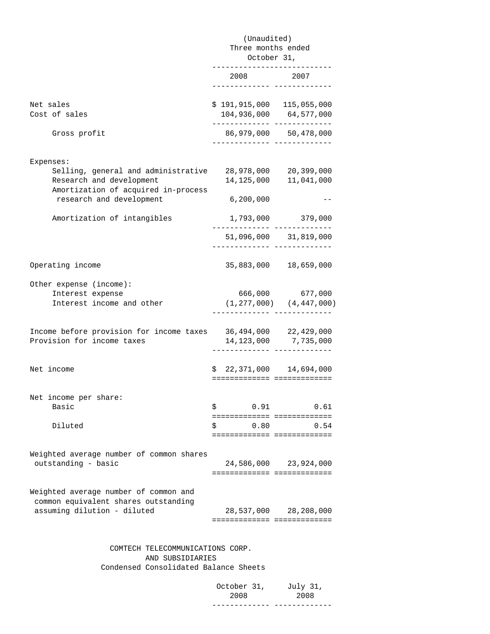|                                                                                                                                                 | (Unaudited)<br>Three months ended                        |                                                        |  |
|-------------------------------------------------------------------------------------------------------------------------------------------------|----------------------------------------------------------|--------------------------------------------------------|--|
|                                                                                                                                                 |                                                          |                                                        |  |
|                                                                                                                                                 | October 31,                                              |                                                        |  |
|                                                                                                                                                 | 2008                                                     | 2007<br>. _ _ _ _ _ _ _ _ _ _ _ _ _ _ _ _ _            |  |
| Net sales<br>Cost of sales                                                                                                                      | \$191,915,000 115,055,000                                | 104,936,000 64,577,000                                 |  |
| Gross profit                                                                                                                                    | ------------- -----------                                | ____________________________<br>86,979,000 50,478,000  |  |
| Expenses:<br>Selling, general and administrative<br>Research and development<br>Amortization of acquired in-process<br>research and development | 14,125,000<br>6, 200, 000                                | 28,978,000 20,399,000<br>11,041,000                    |  |
|                                                                                                                                                 |                                                          |                                                        |  |
| Amortization of intangibles                                                                                                                     | .____________ _______________                            | 1,793,000 379,000                                      |  |
|                                                                                                                                                 |                                                          | 51,096,000 31,819,000<br>.____________________________ |  |
| Operating income                                                                                                                                |                                                          | 35,883,000 18,659,000                                  |  |
| Other expense (income):<br>Interest expense<br>Interest income and other                                                                        |                                                          | 666,000 677,000<br>$(1, 277, 000)$ $(4, 447, 000)$     |  |
| Income before provision for income taxes<br>Provision for income taxes                                                                          |                                                          | 36,494,000 22,429,000<br>14, 123, 000 7, 735, 000      |  |
| Net income                                                                                                                                      | $$22,371,000$ 14,694,000<br>============================ |                                                        |  |
| Net income per share:<br>Basic                                                                                                                  | 0.91<br>\$<br>============================               | 0.61                                                   |  |
| Diluted                                                                                                                                         | \$<br>0.80<br>============== ==============              | 0.54                                                   |  |
| Weighted average number of common shares<br>outstanding - basic                                                                                 | ============================                             | 24,586,000 23,924,000                                  |  |
| Weighted average number of common and<br>common equivalent shares outstanding<br>assuming dilution - diluted                                    | ===========================                              | 28,537,000 28,208,000                                  |  |

 COMTECH TELECOMMUNICATIONS CORP. AND SUBSIDIARIES Condensed Consolidated Balance Sheets

 October 31, July 31, 2008 2008 ------------- -------------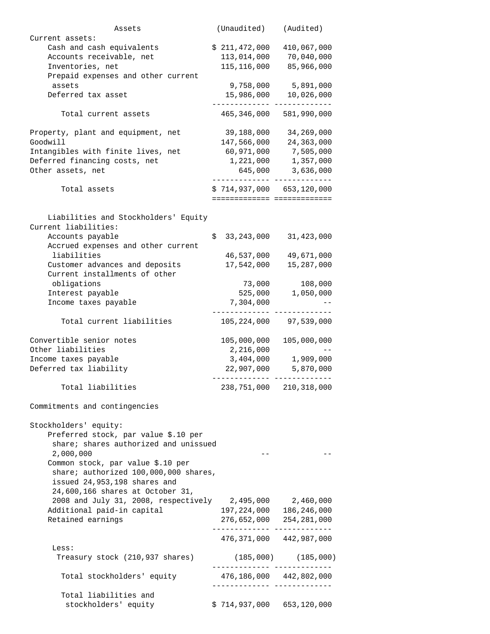| Assets                                         |     | (Unaudited)                   | (Audited)                   |
|------------------------------------------------|-----|-------------------------------|-----------------------------|
| Current assets:                                |     |                               |                             |
| Cash and cash equivalents                      |     | \$211,472,000                 | 410,067,000                 |
| Accounts receivable, net                       |     | 113,014,000                   | 70,040,000                  |
| Inventories, net                               |     | 115,116,000                   | 85,966,000                  |
| Prepaid expenses and other current             |     |                               |                             |
| assets                                         |     | 9,758,000                     | 5,891,000                   |
| Deferred tax asset                             |     | 15,986,000                    | 10,026,000                  |
|                                                |     |                               |                             |
| Total current assets                           |     | 465,346,000 581,990,000       |                             |
| Property, plant and equipment, net             |     | 39,188,000                    | 34,269,000                  |
| Goodwill                                       |     | 147,566,000                   | 24, 363, 000                |
|                                                |     |                               | 7,505,000                   |
| Intangibles with finite lives, net             |     | 60,971,000                    |                             |
| Deferred financing costs, net                  |     | 1,221,000                     | 1,357,000                   |
| Other assets, net                              |     | 645,000                       | 3,636,000                   |
|                                                |     |                               |                             |
| Total assets                                   |     | $$714,937,000$ 653,120,000    |                             |
|                                                |     | ============================= |                             |
|                                                |     |                               |                             |
| Liabilities and Stockholders' Equity           |     |                               |                             |
| Current liabilities:                           |     |                               |                             |
| Accounts payable                               | \$. | 33,243,000                    | 31,423,000                  |
| Accrued expenses and other current             |     |                               |                             |
| liabilities                                    |     | 46,537,000                    | 49,671,000                  |
| Customer advances and deposits                 |     | 17,542,000                    | 15,287,000                  |
| Current installments of other                  |     |                               |                             |
| obligations                                    |     | 73,000                        | 108,000                     |
|                                                |     |                               |                             |
| Interest payable                               |     | 525,000                       | 1,050,000                   |
| Income taxes payable                           |     | 7,304,000                     |                             |
|                                                |     |                               |                             |
| Total current liabilities                      |     | 105,224,000                   | 97,539,000                  |
|                                                |     |                               |                             |
| Convertible senior notes                       |     | 105,000,000                   | 105,000,000                 |
| Other liabilities                              |     | 2,216,000                     |                             |
| Income taxes payable                           |     | 3,404,000                     | 1,909,000                   |
| Deferred tax liability                         |     | 22,907,000                    | 5,870,000                   |
|                                                |     |                               |                             |
| Total liabilities                              |     | 238,751,000                   | 210, 318, 000               |
| Commitments and contingencies                  |     |                               |                             |
|                                                |     |                               |                             |
| Stockholders' equity:                          |     |                               |                             |
| Preferred stock, par value \$.10 per           |     |                               |                             |
| share; shares authorized and unissued          |     |                               |                             |
| 2,000,000                                      |     |                               |                             |
| Common stock, par value \$.10 per              |     |                               |                             |
| share; authorized 100,000,000 shares,          |     |                               |                             |
| issued 24,953,198 shares and                   |     |                               |                             |
| 24,600,166 shares at October 31,               |     |                               |                             |
|                                                |     |                               |                             |
| 2008 and July 31, 2008, respectively 2,495,000 |     |                               | 2,460,000                   |
| Additional paid-in capital                     |     | 197, 224, 000                 | 186,246,000                 |
| Retained earnings                              |     |                               | 276,652,000 254,281,000     |
|                                                |     |                               | 476, 371, 000 442, 987, 000 |
| Less:                                          |     |                               |                             |
| Treasury stock (210,937 shares)                |     |                               | $(185,000)$ $(185,000)$     |
| Total stockholders' equity                     |     |                               |                             |
|                                                |     |                               |                             |
| Total liabilities and                          |     |                               |                             |
| stockholders' equity                           |     | \$714,937,000 653,120,000     |                             |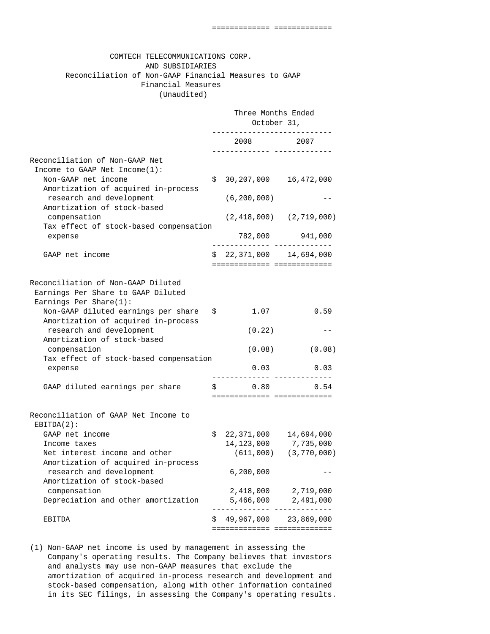## COMTECH TELECOMMUNICATIONS CORP. AND SUBSIDIARIES Reconciliation of Non-GAAP Financial Measures to GAAP Financial Measures (Unaudited)

|                                                                                                    | Three Months Ended<br>October 31, |                                                   |                                 |
|----------------------------------------------------------------------------------------------------|-----------------------------------|---------------------------------------------------|---------------------------------|
|                                                                                                    |                                   | 2008 2007<br>-------- ------                      |                                 |
| Reconciliation of Non-GAAP Net<br>Income to GAAP Net Income(1):<br>Non-GAAP net income             | \$.                               | 30, 207, 000 16, 472, 000                         |                                 |
| Amortization of acquired in-process<br>research and development<br>Amortization of stock-based     |                                   | (6, 200, 000)                                     |                                 |
| compensation<br>Tax effect of stock-based compensation                                             |                                   |                                                   | $(2, 418, 000)$ $(2, 719, 000)$ |
| expense                                                                                            |                                   | ______________ _____________                      | 782,000 941,000                 |
| GAAP net income                                                                                    |                                   | $$22,371,000$ 14,694,000                          |                                 |
| Reconciliation of Non-GAAP Diluted<br>Earnings Per Share to GAAP Diluted<br>Earnings Per Share(1): |                                   |                                                   |                                 |
| Non-GAAP diluted earnings per share<br>Amortization of acquired in-process                         | \$.                               | 1.07                                              | 0.59                            |
| research and development<br>Amortization of stock-based                                            |                                   | (0.22)                                            |                                 |
| compensation<br>Tax effect of stock-based compensation                                             |                                   | (0.08)                                            | (0.08)                          |
| expense                                                                                            |                                   | 0.03                                              | 0.03                            |
| GAAP diluted earnings per share                                                                    |                                   | \$0.80<br>============================            | 0.54                            |
| Reconciliation of GAAP Net Income to<br>$EBITDA(2)$ :                                              |                                   |                                                   |                                 |
| GAAP net income<br>Income taxes<br>Net interest income and other                                   | \$.                               | 22,371,000 14,694,000<br>14, 123, 000 7, 735, 000 | $(611,000)$ $(3,770,000)$       |
| Amortization of acquired in-process<br>research and development<br>Amortization of stock-based     |                                   | 6,200,000                                         |                                 |
| compensation<br>Depreciation and other amortization                                                |                                   | 2,418,000<br>5,466,000                            | 2,719,000<br>2,491,000          |
| EBITDA                                                                                             | Ş                                 | 49,967,000 23,869,000                             | . <u>.</u> .                    |

 (1) Non-GAAP net income is used by management in assessing the Company's operating results. The Company believes that investors and analysts may use non-GAAP measures that exclude the amortization of acquired in-process research and development and stock-based compensation, along with other information contained in its SEC filings, in assessing the Company's operating results.